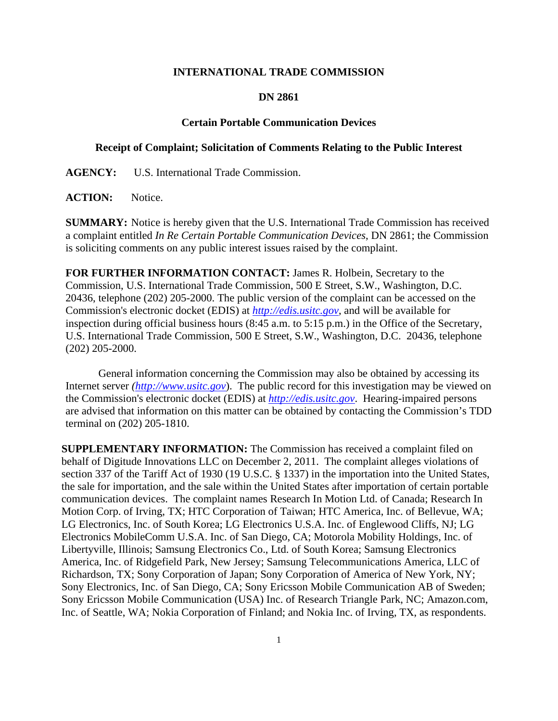## **INTERNATIONAL TRADE COMMISSION**

## **DN 2861**

## **Certain Portable Communication Devices**

## **Receipt of Complaint; Solicitation of Comments Relating to the Public Interest**

**AGENCY:** U.S. International Trade Commission.

ACTION: Notice.

**SUMMARY:** Notice is hereby given that the U.S. International Trade Commission has received a complaint entitled *In Re Certain Portable Communication Devices*, DN 2861; the Commission is soliciting comments on any public interest issues raised by the complaint.

**FOR FURTHER INFORMATION CONTACT:** James R. Holbein, Secretary to the Commission, U.S. International Trade Commission, 500 E Street, S.W., Washington, D.C. 20436, telephone (202) 205-2000. The public version of the complaint can be accessed on the Commission's electronic docket (EDIS) at *http://edis.usitc.gov*, and will be available for inspection during official business hours (8:45 a.m. to 5:15 p.m.) in the Office of the Secretary, U.S. International Trade Commission, 500 E Street, S.W., Washington, D.C. 20436, telephone (202) 205-2000.

General information concerning the Commission may also be obtained by accessing its Internet server *(http://www.usitc.gov*). The public record for this investigation may be viewed on the Commission's electronic docket (EDIS) at *http://edis.usitc.gov*. Hearing-impaired persons are advised that information on this matter can be obtained by contacting the Commission's TDD terminal on (202) 205-1810.

**SUPPLEMENTARY INFORMATION:** The Commission has received a complaint filed on behalf of Digitude Innovations LLC on December 2, 2011. The complaint alleges violations of section 337 of the Tariff Act of 1930 (19 U.S.C. § 1337) in the importation into the United States, the sale for importation, and the sale within the United States after importation of certain portable communication devices. The complaint names Research In Motion Ltd. of Canada; Research In Motion Corp. of Irving, TX; HTC Corporation of Taiwan; HTC America, Inc. of Bellevue, WA; LG Electronics, Inc. of South Korea; LG Electronics U.S.A. Inc. of Englewood Cliffs, NJ; LG Electronics MobileComm U.S.A. Inc. of San Diego, CA; Motorola Mobility Holdings, Inc. of Libertyville, Illinois; Samsung Electronics Co., Ltd. of South Korea; Samsung Electronics America, Inc. of Ridgefield Park, New Jersey; Samsung Telecommunications America, LLC of Richardson, TX; Sony Corporation of Japan; Sony Corporation of America of New York, NY; Sony Electronics, Inc. of San Diego, CA; Sony Ericsson Mobile Communication AB of Sweden; Sony Ericsson Mobile Communication (USA) Inc. of Research Triangle Park, NC; Amazon.com, Inc. of Seattle, WA; Nokia Corporation of Finland; and Nokia Inc. of Irving, TX, as respondents.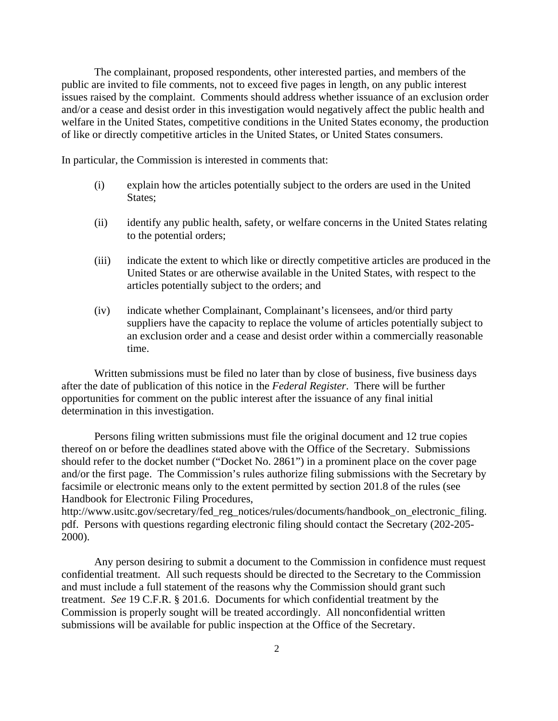The complainant, proposed respondents, other interested parties, and members of the public are invited to file comments, not to exceed five pages in length, on any public interest issues raised by the complaint. Comments should address whether issuance of an exclusion order and/or a cease and desist order in this investigation would negatively affect the public health and welfare in the United States, competitive conditions in the United States economy, the production of like or directly competitive articles in the United States, or United States consumers.

In particular, the Commission is interested in comments that:

- (i) explain how the articles potentially subject to the orders are used in the United States;
- (ii) identify any public health, safety, or welfare concerns in the United States relating to the potential orders;
- (iii) indicate the extent to which like or directly competitive articles are produced in the United States or are otherwise available in the United States, with respect to the articles potentially subject to the orders; and
- (iv) indicate whether Complainant, Complainant's licensees, and/or third party suppliers have the capacity to replace the volume of articles potentially subject to an exclusion order and a cease and desist order within a commercially reasonable time.

 Written submissions must be filed no later than by close of business, five business days after the date of publication of this notice in the *Federal Register*. There will be further opportunities for comment on the public interest after the issuance of any final initial determination in this investigation.

 Persons filing written submissions must file the original document and 12 true copies thereof on or before the deadlines stated above with the Office of the Secretary. Submissions should refer to the docket number ("Docket No. 2861") in a prominent place on the cover page and/or the first page. The Commission's rules authorize filing submissions with the Secretary by facsimile or electronic means only to the extent permitted by section 201.8 of the rules (see Handbook for Electronic Filing Procedures,

http://www.usitc.gov/secretary/fed\_reg\_notices/rules/documents/handbook\_on\_electronic\_filing. pdf. Persons with questions regarding electronic filing should contact the Secretary (202-205- 2000).

 Any person desiring to submit a document to the Commission in confidence must request confidential treatment. All such requests should be directed to the Secretary to the Commission and must include a full statement of the reasons why the Commission should grant such treatment. *See* 19 C.F.R. § 201.6. Documents for which confidential treatment by the Commission is properly sought will be treated accordingly. All nonconfidential written submissions will be available for public inspection at the Office of the Secretary.